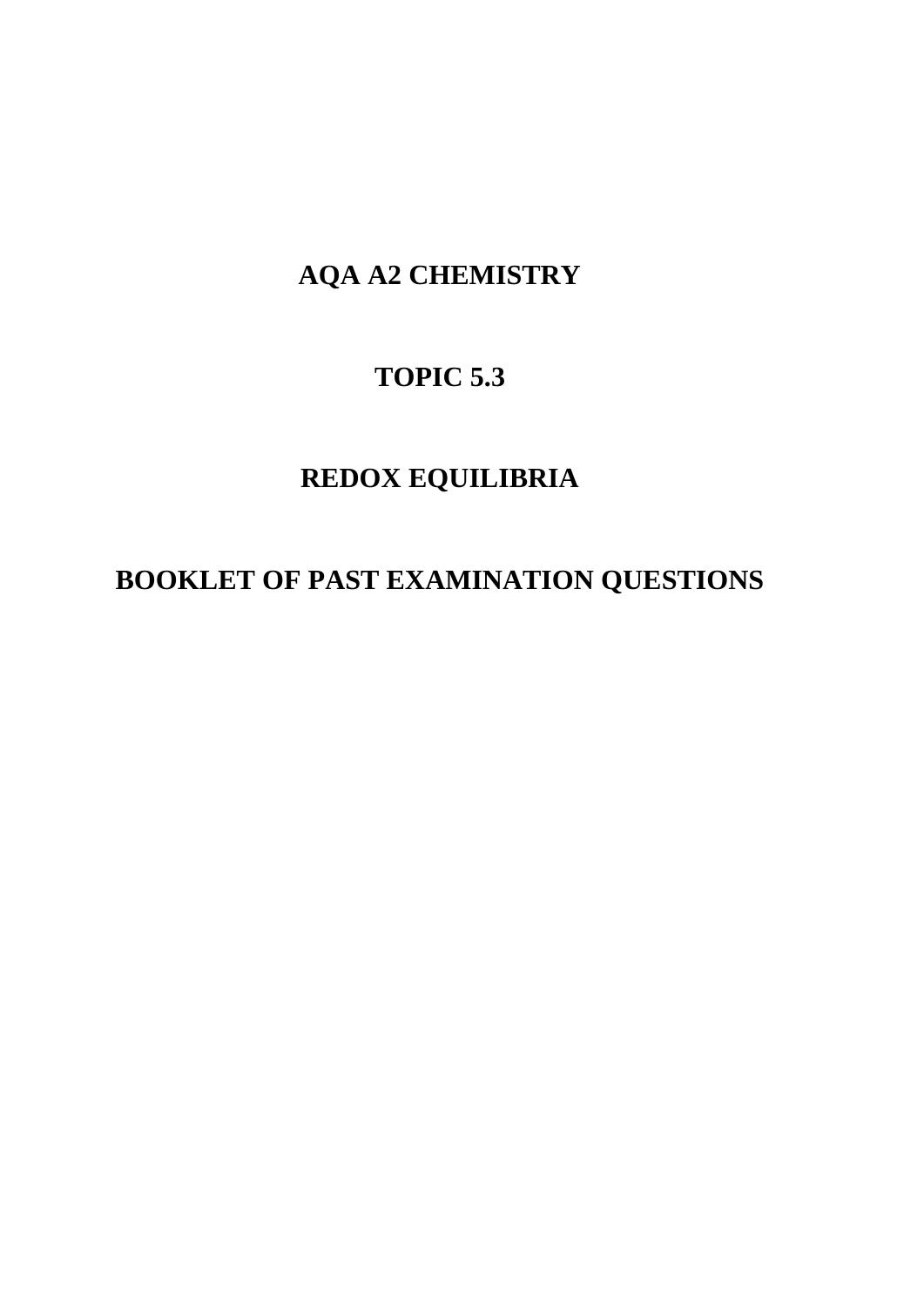## **AQA A2 CHEMISTRY**

## **TOPIC 5.3**

## **REDOX EQUILIBRIA**

## **BOOKLET OF PAST EXAMINATION QUESTIONS**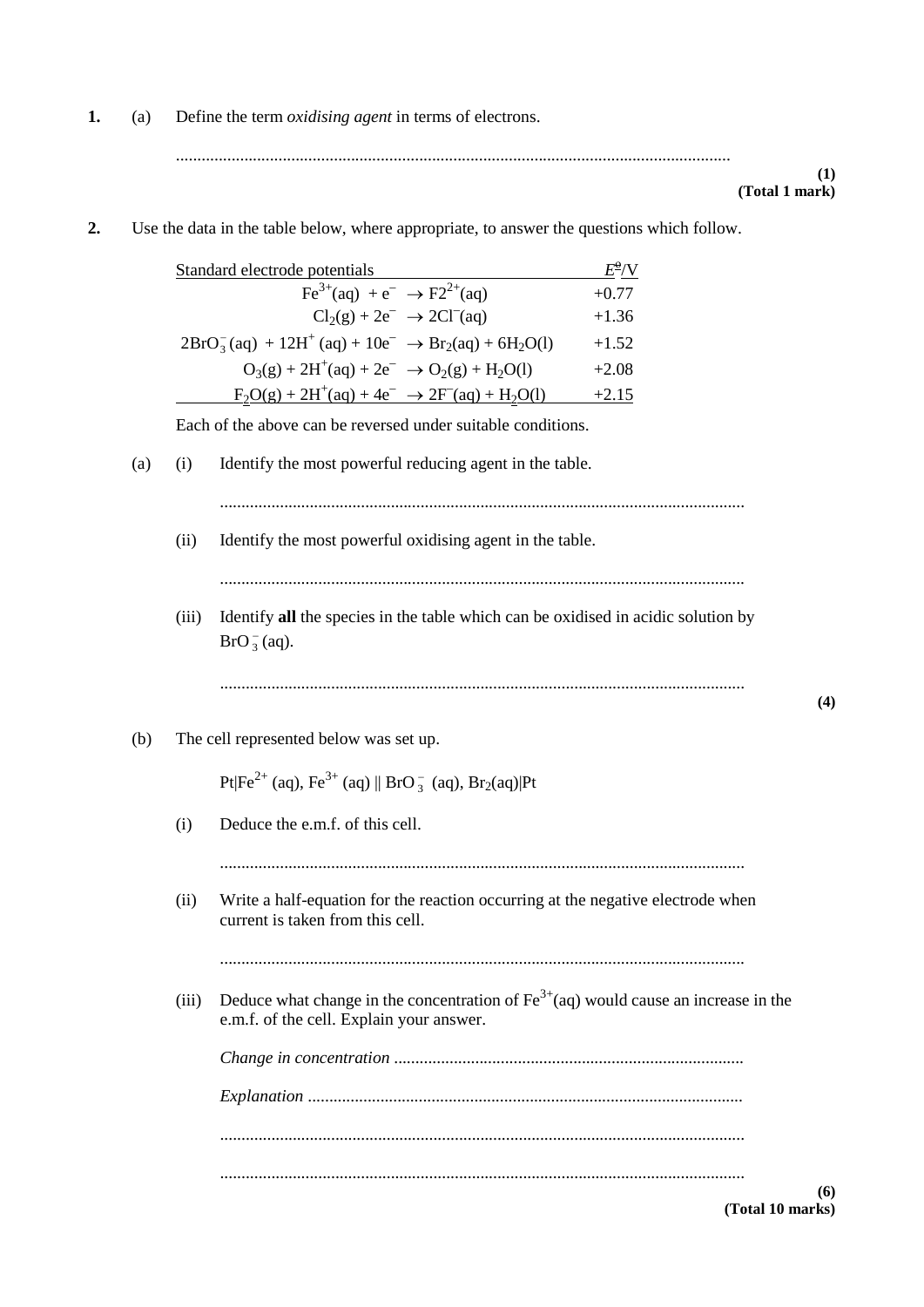**1.** (a) Define the term *oxidising agent* in terms of electrons.

..................................................................................................................................

**(1) (Total 1 mark)**

**(4)**

**2.** Use the data in the table below, where appropriate, to answer the questions which follow.

|       | Standard electrode potentials                                                                                                                    | $E^{\!\Phi\!}/\mathrm{V}$ |
|-------|--------------------------------------------------------------------------------------------------------------------------------------------------|---------------------------|
|       | $Fe^{3+}(aq) + e^{-} \rightarrow F2^{2+}(aq)$                                                                                                    | $+0.77$                   |
|       | $Cl2(g) + 2e^- \rightarrow 2Cl^-(aq)$                                                                                                            | $+1.36$                   |
|       | $2BrO3-(aq) + 12H+(aq) + 10e- \rightarrow Br2(aq) + 6H2O(l)$                                                                                     | $+1.52$                   |
|       | $O_3(g) + 2H^+(aq) + 2e^- \rightarrow O_2(g) + H_2O(l)$                                                                                          | $+2.08$                   |
|       | $F_2O(g) + 2H^+(aq) + 4e^- \rightarrow 2F^-(aq) + H_2O(l)$ +2.15                                                                                 |                           |
|       | Each of the above can be reversed under suitable conditions.                                                                                     |                           |
| (i)   | Identify the most powerful reducing agent in the table.                                                                                          |                           |
|       |                                                                                                                                                  |                           |
| (ii)  | Identify the most powerful oxidising agent in the table.                                                                                         |                           |
| (iii) | Identify all the species in the table which can be oxidised in acidic solution by<br>$BrO3-(aq).$                                                |                           |
| (i)   | The cell represented below was set up.<br>$Pt Fe^{2+}$ (aq), $Fe^{3+}$ (aq)    $BrO_3^-$ (aq), $Br_2(aq)$  Pt<br>Deduce the e.m.f. of this cell. |                           |
|       |                                                                                                                                                  |                           |
| (ii)  | Write a half-equation for the reaction occurring at the negative electrode when<br>current is taken from this cell.                              |                           |
|       |                                                                                                                                                  |                           |
|       |                                                                                                                                                  |                           |
| (iii) | Deduce what change in the concentration of $\text{Fe}^{3+}$ (aq) would cause an increase in the<br>e.m.f. of the cell. Explain your answer.      |                           |
|       |                                                                                                                                                  |                           |
|       |                                                                                                                                                  |                           |
|       |                                                                                                                                                  |                           |

**(6) (Total 10 marks)**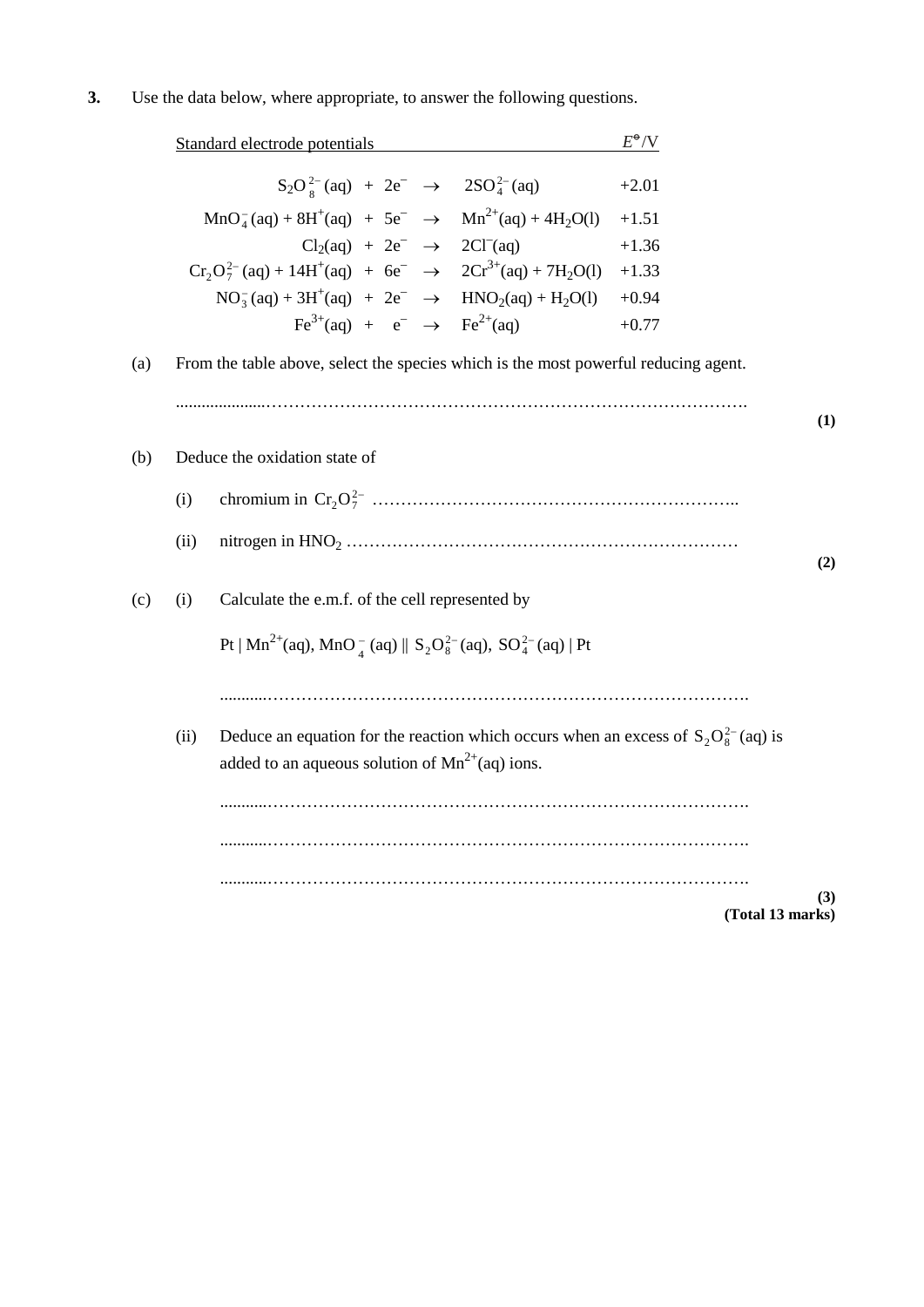|     |      | Standard electrode potentials                                                                                                                   | $E^{\bullet}/V$ |
|-----|------|-------------------------------------------------------------------------------------------------------------------------------------------------|-----------------|
|     |      | $S_2O_8^{2-}$ (aq) + 2e <sup>-</sup> $\rightarrow$ 2SO <sub>4</sub> <sup>2</sup> - (aq)                                                         | $+2.01$         |
|     |      | $MnO_4^-(aq) + 8H^+(aq) + 5e^- \rightarrow Mn^{2+}(aq) + 4H_2O(l)$                                                                              | $+1.51$         |
|     |      | $Cl2(aq) + 2e^- \rightarrow 2Cl-(aq)$                                                                                                           | $+1.36$         |
|     |      | $Cr_2O_7^{2-} (aq) + 14H^+(aq) + 6e^- \rightarrow 2Cr^{3+} (aq) + 7H_2O(l) + 1.33$                                                              |                 |
|     |      | $NO_3^- (aq) + 3H^+(aq) + 2e^- \rightarrow HNO_2(aq) + H_2O(l)$                                                                                 | $+0.94$         |
|     |      | $\text{Fe}^{3+}(\text{aq}) + e^- \rightarrow \text{Fe}^{2+}(\text{aq})$                                                                         | $+0.77$         |
| (a) |      | From the table above, select the species which is the most powerful reducing agent.                                                             |                 |
|     |      |                                                                                                                                                 |                 |
| (b) |      | Deduce the oxidation state of                                                                                                                   |                 |
|     | (i)  |                                                                                                                                                 |                 |
|     | (ii) |                                                                                                                                                 |                 |
| (c) | (i)  | Calculate the e.m.f. of the cell represented by                                                                                                 |                 |
|     |      | Pt   Mn <sup>2+</sup> (aq), MnO <sub>-4</sub> (aq)    S <sub>2</sub> O <sub>8</sub> <sup>2-</sup> (aq), SO <sub>4</sub> <sup>2-</sup> (aq)   Pt |                 |
|     |      |                                                                                                                                                 |                 |
|     | (ii) | Deduce an equation for the reaction which occurs when an excess of $S_2O_8^{2-}$ (aq) is<br>added to an aqueous solution of $Mn^{2+}(aq)$ ions. |                 |
|     |      |                                                                                                                                                 |                 |
|     |      |                                                                                                                                                 |                 |
|     |      |                                                                                                                                                 |                 |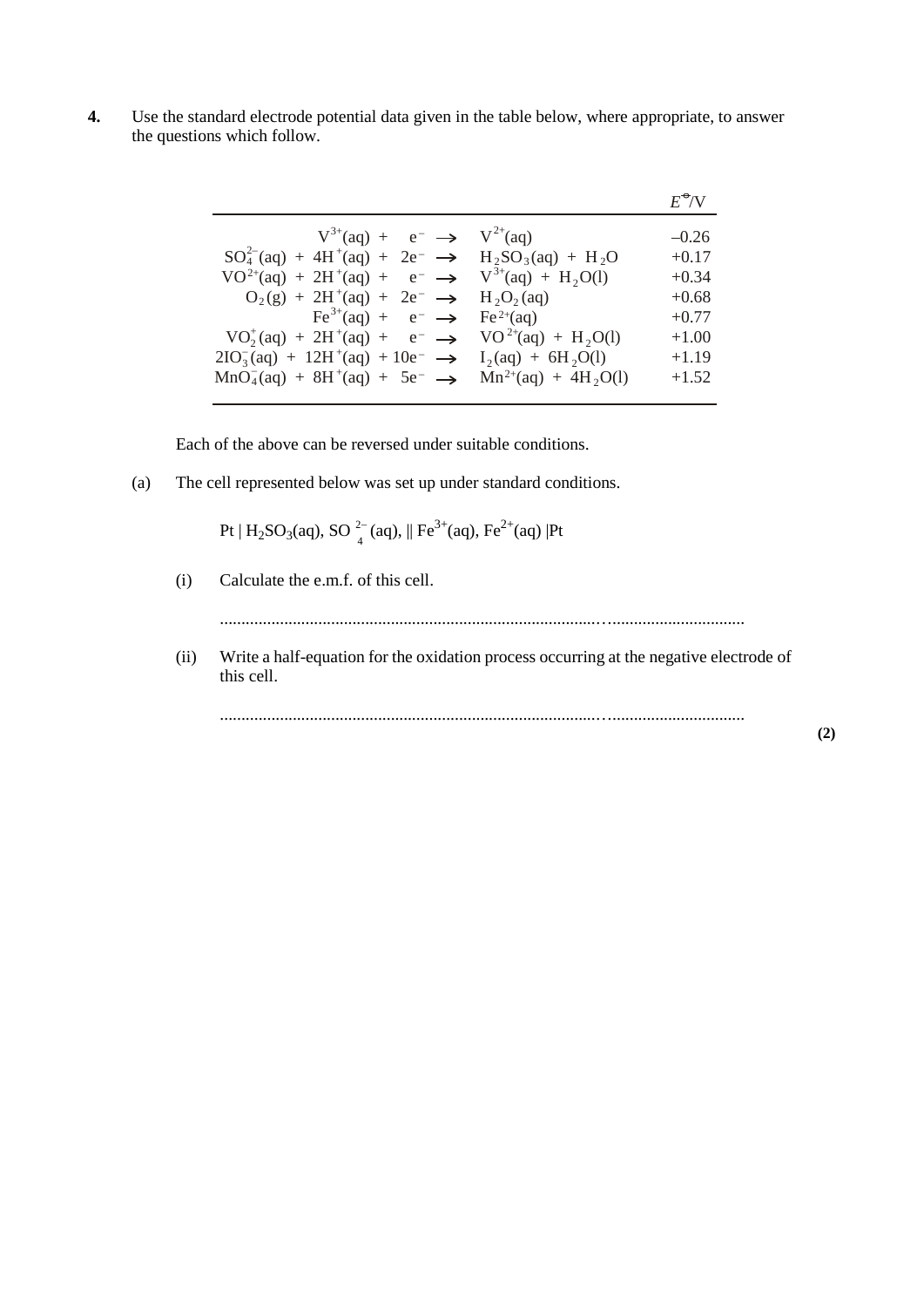**4.** Use the standard electrode potential data given in the table below, where appropriate, to answer the questions which follow.

|                                                                                                                                                                             | $E^{\bullet}/V$    |
|-----------------------------------------------------------------------------------------------------------------------------------------------------------------------------|--------------------|
| $V^{3+}(aq) + e^- \rightarrow V^{2+}(aq)$<br>$SO_4^{2-}$ (aq) + 4H <sup>+</sup> (aq) + 2e <sup>-</sup> $\rightarrow$ H <sub>2</sub> SO <sub>3</sub> (aq) + H <sub>2</sub> O | $-0.26$<br>$+0.17$ |
| $VO^{2+}(aq) + 2H^{+}(aq) + e^{-} \rightarrow V^{3+}(aq) + H_{2}O(l)$<br>$O_2(g) + 2H^+(aq) + 2e^- \rightarrow H_2O_2(aq)$                                                  | $+0.34$<br>$+0.68$ |
| $\text{Fe}^{3+}(\text{aq}) + e^- \rightarrow \text{Fe}^{2+}(\text{aq})$<br>$VO_2^+(aq) + 2H^+(aq) + e^- \rightarrow VO^{2+}(aq) + H_2O(l)$                                  | $+0.77$<br>$+1.00$ |
| $2IO_3^-(aq) + 12H^+(aq) + 10e^- \rightarrow I_2(aq) + 6H_2O(l)$<br>$MnO_4^-(aq) + 8H^+(aq) + 5e^- \rightarrow Mn^{2+}(aq) + 4H_2O(l)$                                      | $+1.19$<br>$+1.52$ |

Each of the above can be reversed under suitable conditions.

(a) The cell represented below was set up under standard conditions.

Pt | H<sub>2</sub>SO<sub>3</sub>(aq), SO<sup>2-</sup><sub>4</sub>(aq), || Fe<sup>3+</sup>(aq), Fe<sup>2+</sup>(aq) |Pt

(i) Calculate the e.m.f. of this cell.

l,

........................................................................................…...............................

(ii) Write a half-equation for the oxidation process occurring at the negative electrode of this cell.

........................................................................................…...............................

**(2)**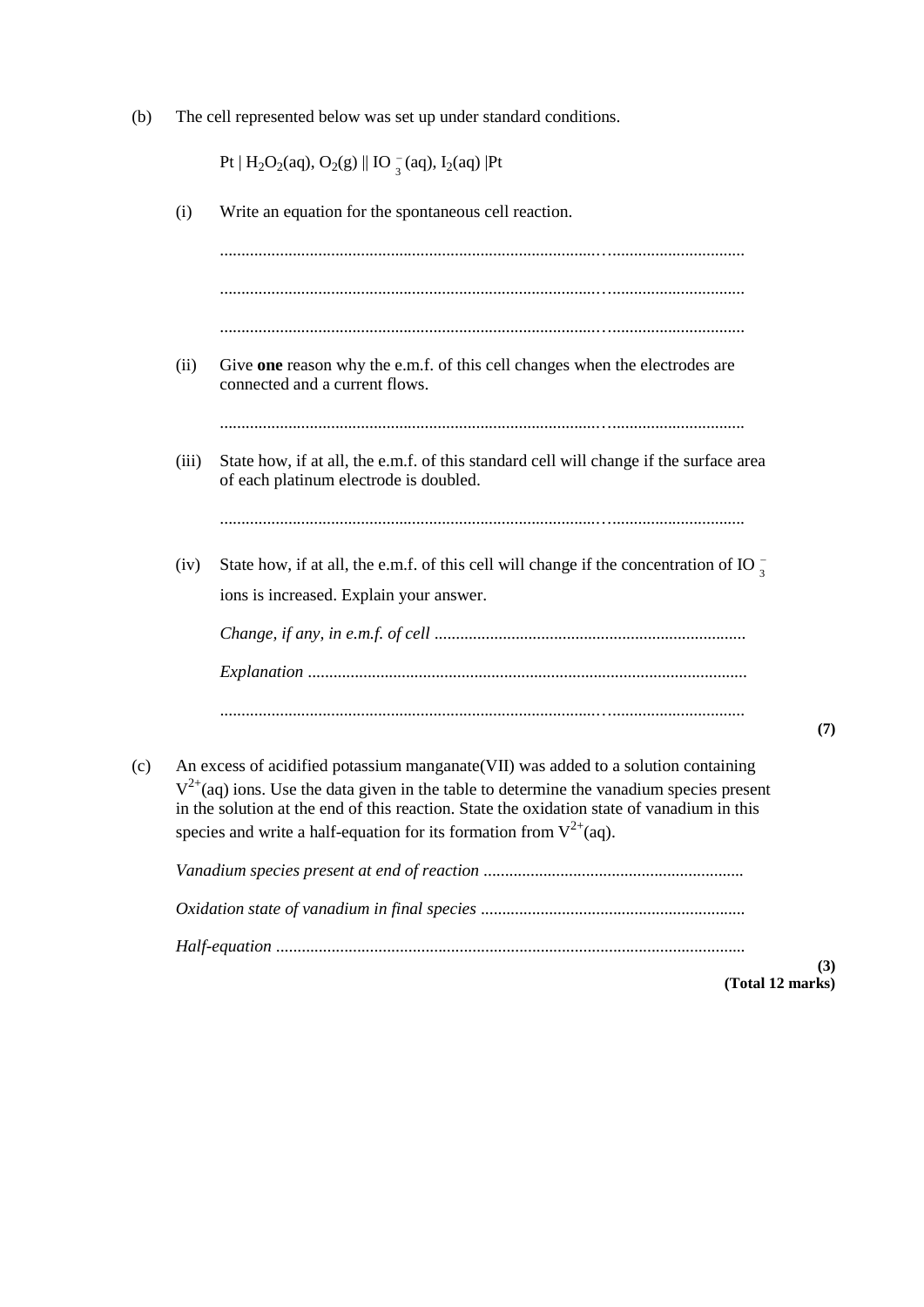(b) The cell represented below was set up under standard conditions.

Pt  $| H_2O_2(aq), O_2(g) ||$  IO  $_3^-$ (aq), I<sub>2</sub>(aq) |Pt

(i) Write an equation for the spontaneous cell reaction. ........................................................................................…............................... ........................................................................................…............................... ........................................................................................…............................... (ii) Give **one** reason why the e.m.f. of this cell changes when the electrodes are connected and a current flows. ........................................................................................…............................... (iii) State how, if at all, the e.m.f. of this standard cell will change if the surface area of each platinum electrode is doubled. ........................................................................................…............................... (iv) State how, if at all, the e.m.f. of this cell will change if the concentration of IO  $\frac{1}{3}$ ions is increased. Explain your answer. *Change, if any, in e.m.f. of cell* ......................................................................... *Explanation* ....................................................................................................... ........................................................................................…............................... **(7)** (c) An excess of acidified potassium manganate(VII) was added to a solution containing  $V^{2+}$ (aq) ions. Use the data given in the table to determine the vanadium species present in the solution at the end of this reaction. State the oxidation state of vanadium in this species and write a half-equation for its formation from  $V^{2+}$ (aq). *Vanadium species present at end of reaction* ............................................................. *Oxidation state of vanadium in final species* .............................................................. *Half-equation* ..............................................................................................................

> **(3) (Total 12 marks)**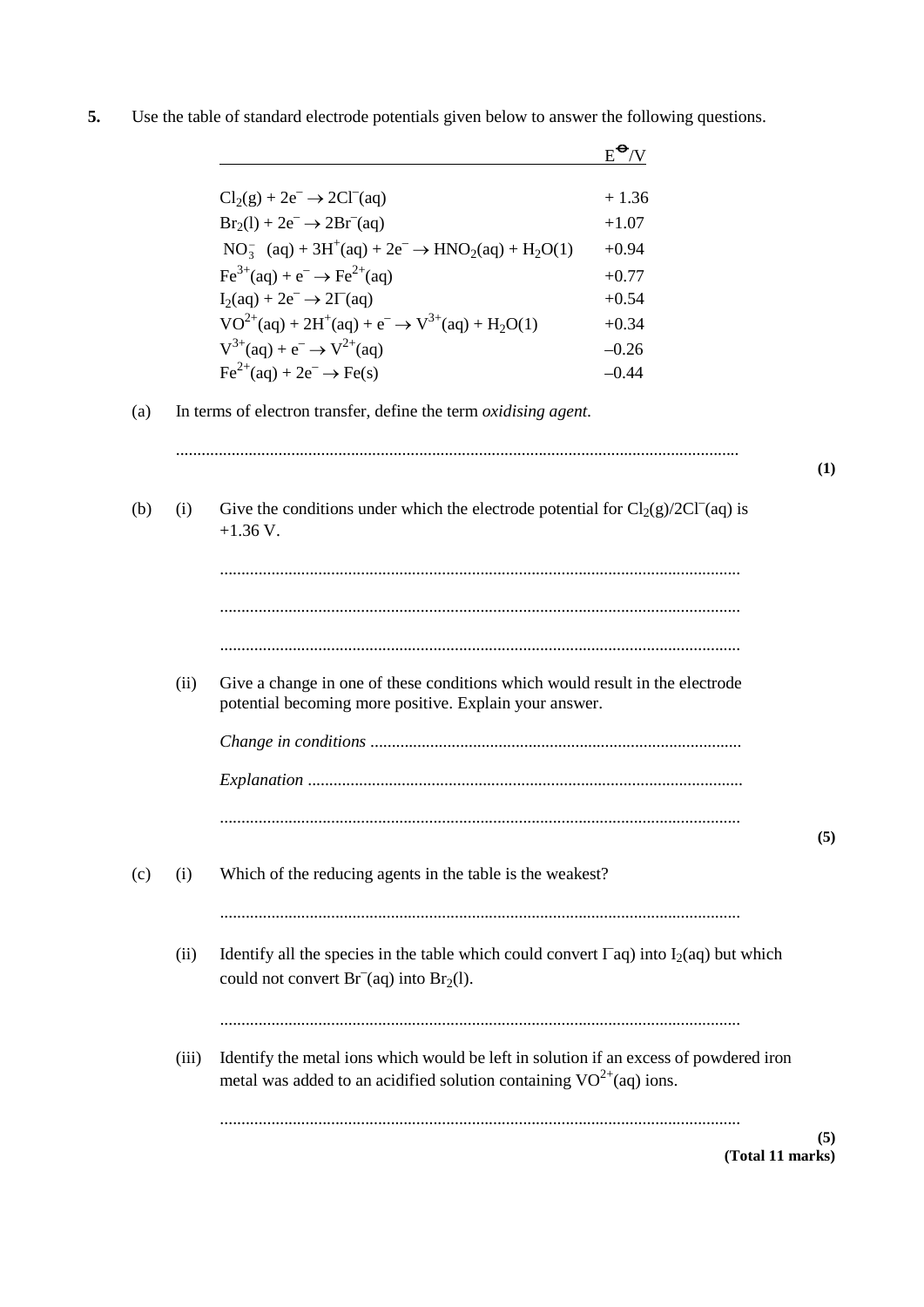|     |       |                                                                                                                                                                  | $E^{\bigodot}$ /V |     |
|-----|-------|------------------------------------------------------------------------------------------------------------------------------------------------------------------|-------------------|-----|
|     |       | $Cl2(g) + 2e^- \rightarrow 2Cl^-(aq)$                                                                                                                            | $+1.36$           |     |
|     |       | $Br_2(1) + 2e^- \rightarrow 2Br^-(aq)$                                                                                                                           | $+1.07$           |     |
|     |       | $NO_3^-$ (aq) + 3H <sup>+</sup> (aq) + 2e <sup>-</sup> $\rightarrow$ HNO <sub>2</sub> (aq) + H <sub>2</sub> O(1)                                                 | $+0.94$           |     |
|     |       | $Fe^{3+}(aq) + e^{-} \rightarrow Fe^{2+}(aq)$                                                                                                                    | $+0.77$           |     |
|     |       | $I_2(aq) + 2e^- \rightarrow 2\Gamma(aq)$                                                                                                                         | $+0.54$           |     |
|     |       | $VO^{2+}(aq) + 2H^+(aq) + e^- \rightarrow V^{3+}(aq) + H_2O(1)$                                                                                                  | $+0.34$           |     |
|     |       | $V^{3+}(aq) + e^- \rightarrow V^{2+}(aq)$                                                                                                                        | $-0.26$           |     |
|     |       | $\text{Fe}^{2+}(\text{aq}) + 2\text{e}^- \rightarrow \text{Fe(s)}$                                                                                               | $-0.44$           |     |
| (a) |       | In terms of electron transfer, define the term oxidising agent.                                                                                                  |                   |     |
|     |       |                                                                                                                                                                  |                   | (1) |
| (b) | (i)   | Give the conditions under which the electrode potential for $Cl_2(g)/2Cl^-(aq)$ is<br>$+1.36$ V.                                                                 |                   |     |
|     |       |                                                                                                                                                                  |                   |     |
|     |       |                                                                                                                                                                  |                   |     |
|     | (ii)  | Give a change in one of these conditions which would result in the electrode<br>potential becoming more positive. Explain your answer.                           |                   |     |
|     |       |                                                                                                                                                                  |                   |     |
|     |       |                                                                                                                                                                  |                   |     |
|     |       |                                                                                                                                                                  |                   | (5) |
| (c) | (i)   | Which of the reducing agents in the table is the weakest?                                                                                                        |                   |     |
|     | (ii)  | Identify all the species in the table which could convert $\Gamma$ aq) into I <sub>2</sub> (aq) but which<br>could not convert $Br^-(aq)$ into $Br_2(l)$ .       |                   |     |
|     |       |                                                                                                                                                                  |                   |     |
|     | (iii) | Identify the metal ions which would be left in solution if an excess of powdered iron<br>metal was added to an acidified solution containing $VO^{2+}(aq)$ ions. |                   |     |
|     |       |                                                                                                                                                                  |                   | (5) |

**5.** Use the table of standard electrode potentials given below to answer the following questions.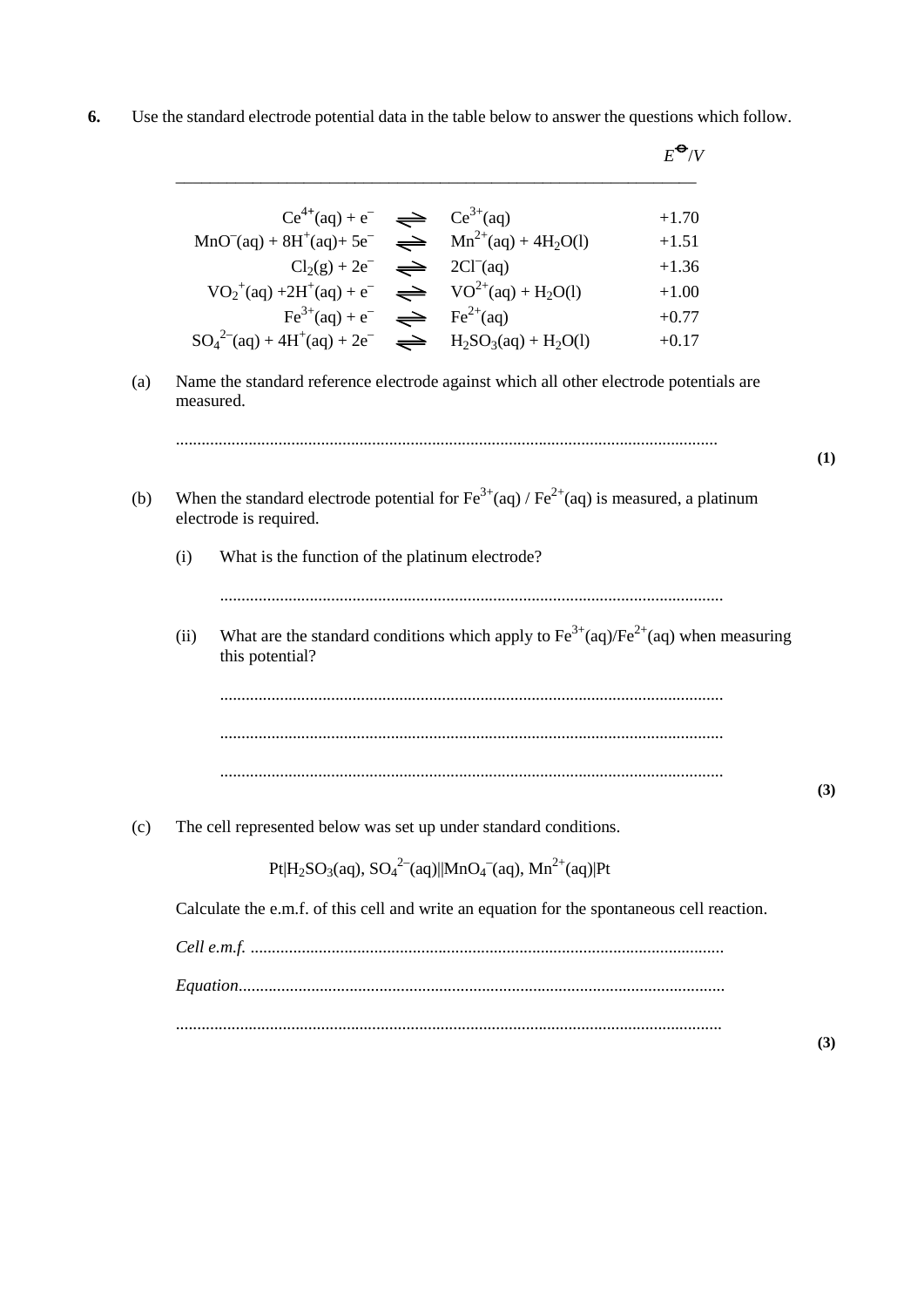**6.** Use the standard electrode potential data in the table below to answer the questions which follow.

|      | $Ce^{4+}(aq) + e^{-} \implies Ce^{3+}(aq)$                                                                                                |  | $+1.70$                                                                                                     |
|------|-------------------------------------------------------------------------------------------------------------------------------------------|--|-------------------------------------------------------------------------------------------------------------|
|      | $MnO^{-}(aq) + 8H^{+}(aq) + 5e^{-} \implies Mn^{2+}(aq) + 4H_{2}O(l)$                                                                     |  | $+1.51$                                                                                                     |
|      | $Cl2(g) + 2e^ \implies$ 2Cl <sup>-</sup> (aq)                                                                                             |  | $+1.36$                                                                                                     |
|      | $VO_2^+(aq) + 2H^+(aq) + e^ \implies$ $VO^{2+}(aq) + H_2O(l)$                                                                             |  | $+1.00$                                                                                                     |
|      | $Fe^{3+}(aq) + e^{-} \implies Fe^{2+}(aq)$                                                                                                |  | $+0.77$                                                                                                     |
|      | $SO_4^{2-}(aq) + 4H^+(aq) + 2e^ \implies$ $H_2SO_3(aq) + H_2O(l)$                                                                         |  | $+0.17$                                                                                                     |
| (b)  | When the standard electrode potential for $\text{Fe}^{3+}$ (aq) / $\text{Fe}^{2+}$ (aq) is measured, a platinum<br>electrode is required. |  |                                                                                                             |
| (i)  | What is the function of the platinum electrode?                                                                                           |  |                                                                                                             |
|      |                                                                                                                                           |  |                                                                                                             |
| (ii) | this potential?                                                                                                                           |  | What are the standard conditions which apply to $\text{Fe}^{3+}$ (aq)/ $\text{Fe}^{2+}$ (aq) when measuring |
|      |                                                                                                                                           |  |                                                                                                             |
|      |                                                                                                                                           |  |                                                                                                             |

(c) The cell represented below was set up under standard conditions.

Pt|H<sub>2</sub>SO<sub>3</sub>(aq), SO<sub>4</sub><sup>2–</sup>(aq)||MnO<sub>4</sub><sup>–</sup>(aq), Mn<sup>2+</sup>(aq)|Pt

Calculate the e.m.f. of this cell and write an equation for the spontaneous cell reaction.

......................................................................................................................

*Cell e.m.f.* ............................................................................................................... *Equation*.................................................................................................................. ................................................................................................................................

**(1)** 

**(3)**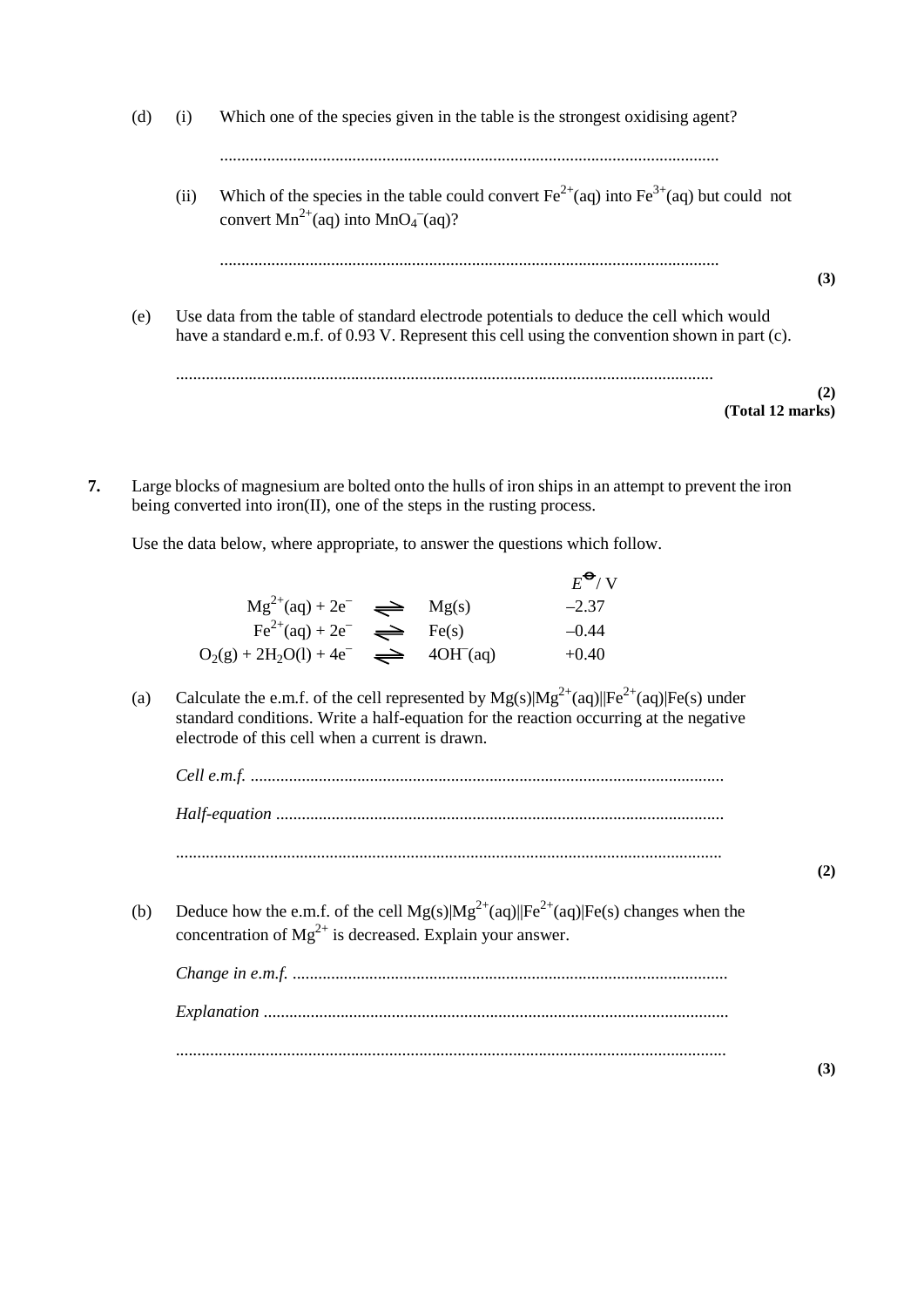- (d) (i) Which one of the species given in the table is the strongest oxidising agent? ..................................................................................................................... (ii) Which of the species in the table could convert  $Fe^{2+}(aq)$  into  $Fe^{3+}(aq)$  but could not convert  $Mn^{2+}$ (aq) into  $MnO_4$ <sup>-</sup>(aq)? ..................................................................................................................... **(3)** (e) Use data from the table of standard electrode potentials to deduce the cell which would have a standard e.m.f. of 0.93 V. Represent this cell using the convention shown in part (c). .............................................................................................................................. **(2) (Total 12 marks)**
- **7.** Large blocks of magnesium are bolted onto the hulls of iron ships in an attempt to prevent the iron being converted into iron(II), one of the steps in the rusting process.

Use the data below, where appropriate, to answer the questions which follow.

|                                                         |  | $E^{\bullet}$ /V |
|---------------------------------------------------------|--|------------------|
| $Mg^{2+}(aq) + 2e^ \implies$ $Mg(s)$                    |  | $-2.37$          |
| $\text{Fe}^{2+}(\text{aq}) + 2\text{e}^ \implies$ Fe(s) |  | $-0.44$          |
| $O_2(g) + 2H_2O(l) + 4e^ \implies$ 40H (aq)             |  | $+0.40$          |

(a) Calculate the e.m.f. of the cell represented by  $Mg(s)|Mg^{2+}(aq)||Fe^{2+}(aq)|Fe(s)$  under standard conditions. Write a half-equation for the reaction occurring at the negative electrode of this cell when a current is drawn.

*Cell e.m.f.* ............................................................................................................... *Half-equation* ......................................................................................................... ................................................................................................................................

(b) Deduce how the e.m.f. of the cell  $Mg(s)|Mg^{2+}(aq)||Fe^{2+}(aq)|Fe(s)$  changes when the concentration of  $Mg^{2+}$  is decreased. Explain your answer.

**(2)**

**(3)**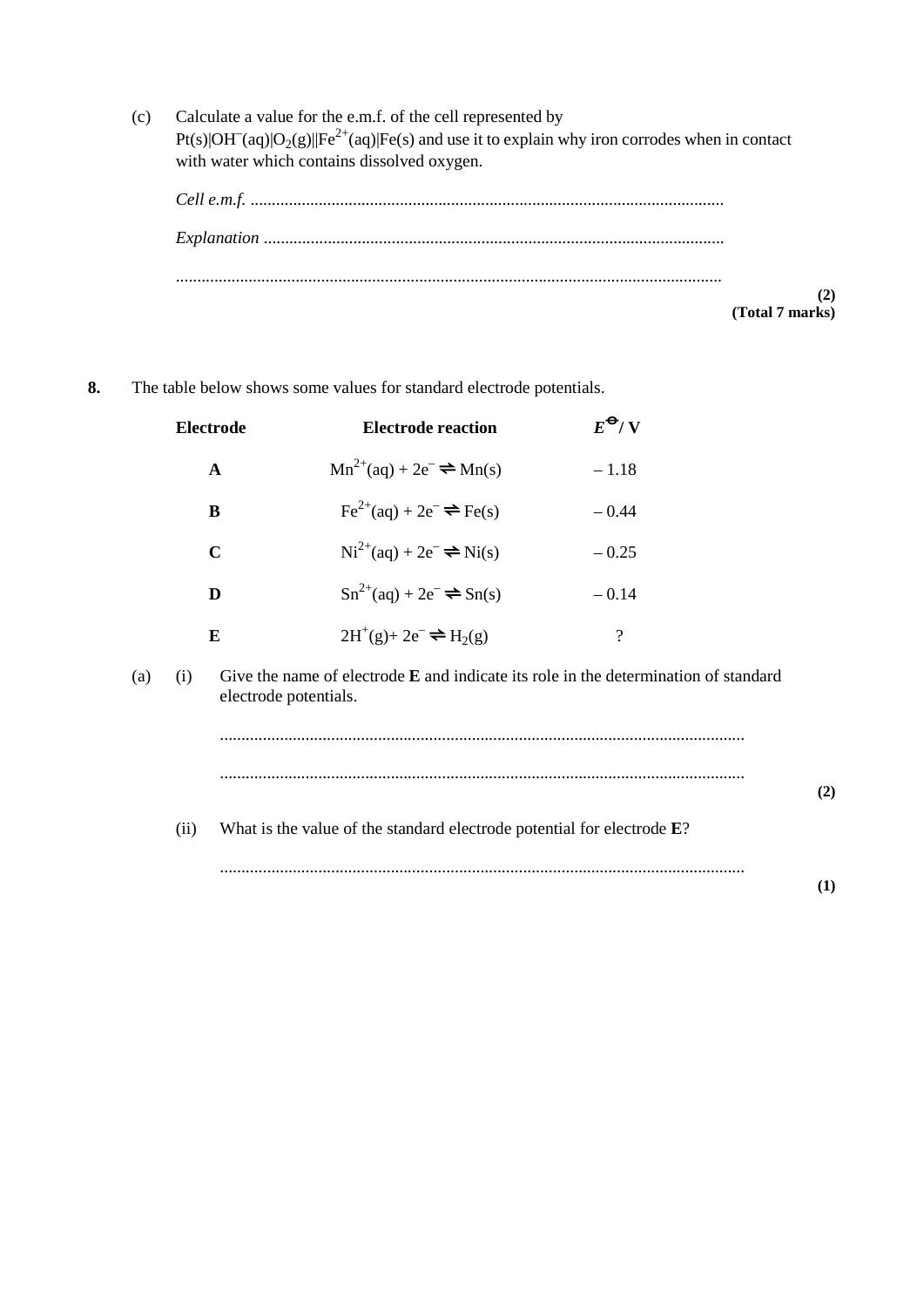(c) Calculate a value for the e.m.f. of the cell represented by Pt(s)|OH<sup>-</sup>(aq)|O<sub>2</sub>(g)||Fe<sup>2+</sup>(aq)|Fe(s) and use it to explain why iron corrodes when in contact with water which contains dissolved oxygen.



**8.** The table below shows some values for standard electrode potentials.

|     |      | Electrode             | <b>Electrode reaction</b>                                                             | $E^{\Theta}/V$     |     |
|-----|------|-----------------------|---------------------------------------------------------------------------------------|--------------------|-----|
|     |      | $\mathbf A$           | $Mn^{2+}(aq) + 2e^- \rightleftharpoons Mn(s)$                                         | $-1.18$            |     |
|     |      | B                     | $\text{Fe}^{2+}(\text{aq}) + 2\text{e}^- \rightleftharpoons \text{Fe(s)}$             | $-0.44$            |     |
|     |      | $\mathbf C$           | $Ni^{2+}(aq) + 2e^- \rightleftharpoons Ni(s)$                                         | $-0.25$            |     |
|     |      | D                     | $Sn^{2+}(aq) + 2e^- \rightleftharpoons Sn(s)$                                         | $-0.14$            |     |
|     |      | E                     | $2H^+(g) + 2e^- \rightleftharpoons H_2(g)$                                            | $\overline{\cdot}$ |     |
| (a) | (i)  | electrode potentials. | Give the name of electrode $E$ and indicate its role in the determination of standard |                    |     |
|     |      |                       |                                                                                       |                    |     |
|     |      |                       |                                                                                       |                    | (2) |
|     | (ii) |                       | What is the value of the standard electrode potential for electrode $E$ ?             |                    |     |
|     |      |                       |                                                                                       |                    | (1) |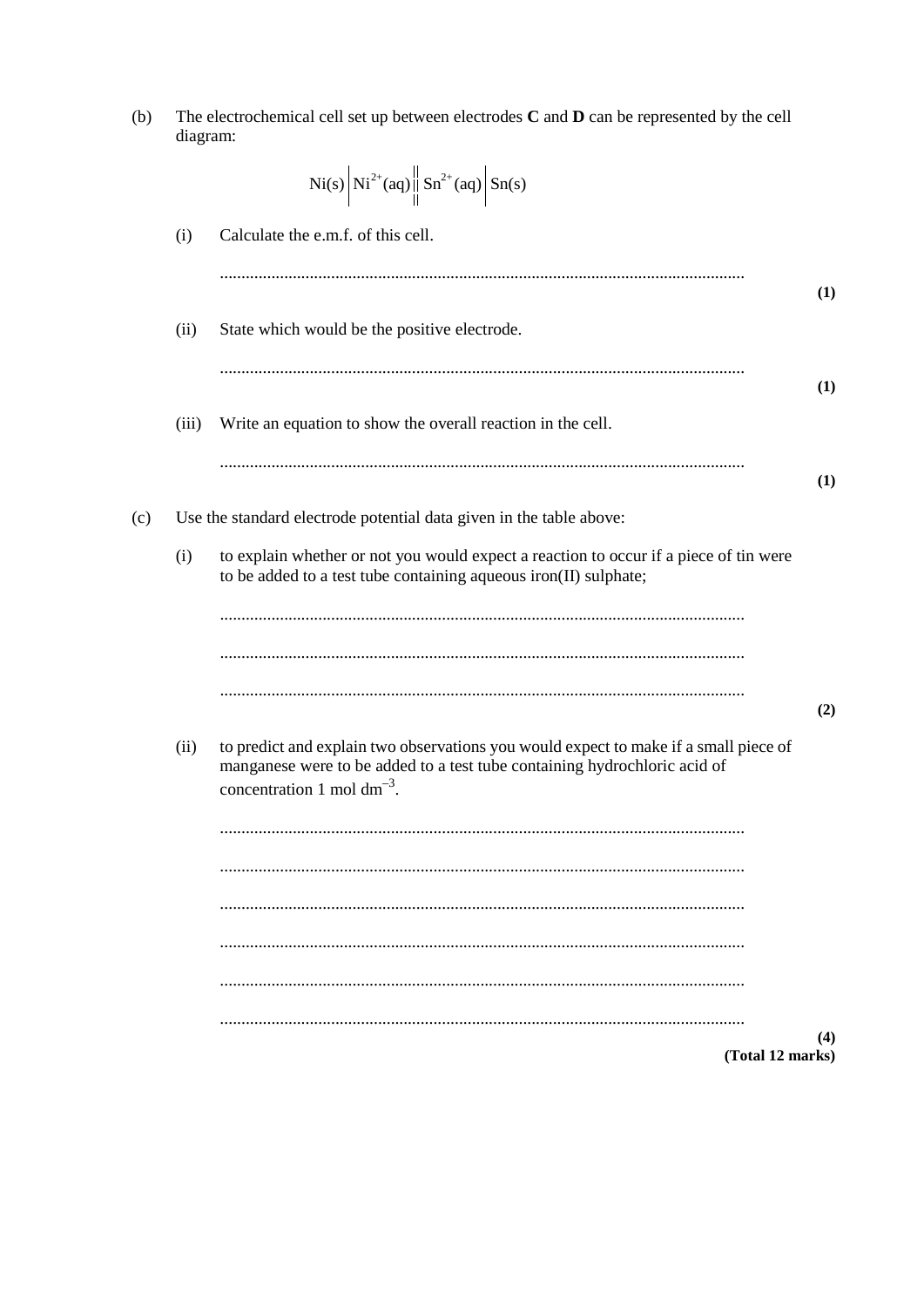| The electrochemical cell set up between electrodes $C$ and $D$ can be represented by the cell<br>(b)<br>diagram: |       |                                                                                                                                                                   |     |  |
|------------------------------------------------------------------------------------------------------------------|-------|-------------------------------------------------------------------------------------------------------------------------------------------------------------------|-----|--|
|                                                                                                                  |       | Ni(s) $Ni^{2+}(aq)$ $\left\  Sn^{2+}(aq) \right\ $ $Sn(s)$                                                                                                        |     |  |
|                                                                                                                  | (i)   | Calculate the e.m.f. of this cell.                                                                                                                                |     |  |
|                                                                                                                  |       |                                                                                                                                                                   | (1) |  |
|                                                                                                                  | (ii)  | State which would be the positive electrode.                                                                                                                      |     |  |
|                                                                                                                  |       |                                                                                                                                                                   | (1) |  |
|                                                                                                                  | (iii) | Write an equation to show the overall reaction in the cell.                                                                                                       |     |  |
|                                                                                                                  |       |                                                                                                                                                                   | (1) |  |
| (c)                                                                                                              |       | Use the standard electrode potential data given in the table above:                                                                                               |     |  |
|                                                                                                                  | (i)   | to explain whether or not you would expect a reaction to occur if a piece of tin were<br>to be added to a test tube containing aqueous iron(II) sulphate;         |     |  |
|                                                                                                                  |       |                                                                                                                                                                   |     |  |
|                                                                                                                  |       |                                                                                                                                                                   |     |  |
|                                                                                                                  |       |                                                                                                                                                                   | (2) |  |
|                                                                                                                  | (ii)  | to predict and explain two observations you would expect to make if a small piece of<br>manganese were to be added to a test tube containing hydrochloric acid of |     |  |
|                                                                                                                  |       | concentration 1 mol $dm^{-3}$ .                                                                                                                                   |     |  |
|                                                                                                                  |       |                                                                                                                                                                   |     |  |
|                                                                                                                  |       |                                                                                                                                                                   |     |  |
|                                                                                                                  |       |                                                                                                                                                                   |     |  |
|                                                                                                                  |       |                                                                                                                                                                   |     |  |
|                                                                                                                  |       | (Total 12 marks)                                                                                                                                                  | (4) |  |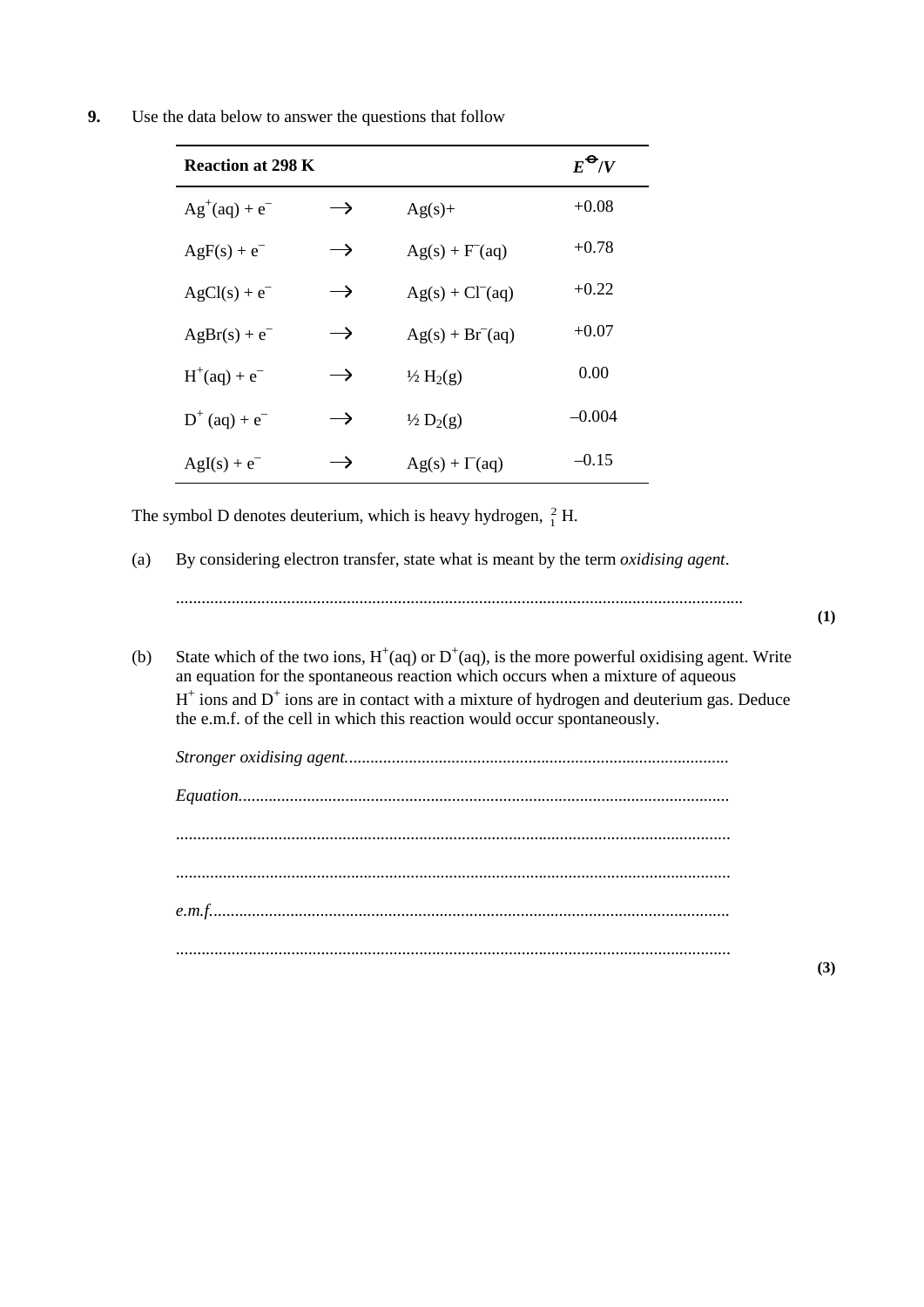**9.** Use the data below to answer the questions that follow

| <b>Reaction at 298 K</b> |               |                      | $E^{\Theta}/V$ |
|--------------------------|---------------|----------------------|----------------|
| $Ag^+(aq) + e^-$         | $\rightarrow$ | $Ag(s)+$             | $+0.08$        |
| $AgF(s) + e^-$           | $\rightarrow$ | $Ag(s) + F'(aq)$     | $+0.78$        |
| $AgCl(s) + e^-$          | $\rightarrow$ | $Ag(s) + Cl-(aq)$    | $+0.22$        |
| $AgBr(s) + e^-$          | $\rightarrow$ | $Ag(s) + Br-(aq)$    | $+0.07$        |
| $H^{+}(aq) + e^{-}$      | $\rightarrow$ | $\frac{1}{2} H_2(g)$ | 0.00           |
| $D^{+}$ (aq) + $e^{-}$   | $\rightarrow$ | $\frac{1}{2} D_2(g)$ | $-0.004$       |
| $AgI(s) + e^-$           | $\rightarrow$ | $Ag(s) + \Gamma(aq)$ | $-0.15$        |

The symbol D denotes deuterium, which is heavy hydrogen,  $\frac{2}{1}$  H.

(a) By considering electron transfer, state what is meant by the term *oxidising agent*.

.....................................................................................................................................

**(1)**

(b) State which of the two ions,  $H^+(aq)$  or  $D^+(aq)$ , is the more powerful oxidising agent. Write an equation for the spontaneous reaction which occurs when a mixture of aqueous  $H^+$  ions and  $D^+$  ions are in contact with a mixture of hydrogen and deuterium gas. Deduce the e.m.f. of the cell in which this reaction would occur spontaneously.

| $Equation  \begin{equation} \begin{minipage}{0.9\linewidth} \textit{Equation 1:}\end{minipage} \vspace{0.05in} \begin{minipage}{0.9\linewidth} \textit{Equation 2:}\end{minipage} \vspace{0.05in} \begin{minipage}{0.9\linewidth} \textit{Equation 3:}\end{minipage} \vspace{0.05in} \begin{minipage}{0.9\linewidth} \textit{Equation 4:}\end{minipage} \vspace{0.05in} \begin{minipage}{0.9\linewidth} \textit{Equation 5:}\end{minipage} \vspace{0.05in} \begin{minipage}{0.9\linewidth} \textit$ |
|-----------------------------------------------------------------------------------------------------------------------------------------------------------------------------------------------------------------------------------------------------------------------------------------------------------------------------------------------------------------------------------------------------------------------------------------------------------------------------------------------------|
|                                                                                                                                                                                                                                                                                                                                                                                                                                                                                                     |
|                                                                                                                                                                                                                                                                                                                                                                                                                                                                                                     |
|                                                                                                                                                                                                                                                                                                                                                                                                                                                                                                     |
| e.m.f                                                                                                                                                                                                                                                                                                                                                                                                                                                                                               |
|                                                                                                                                                                                                                                                                                                                                                                                                                                                                                                     |

**(3)**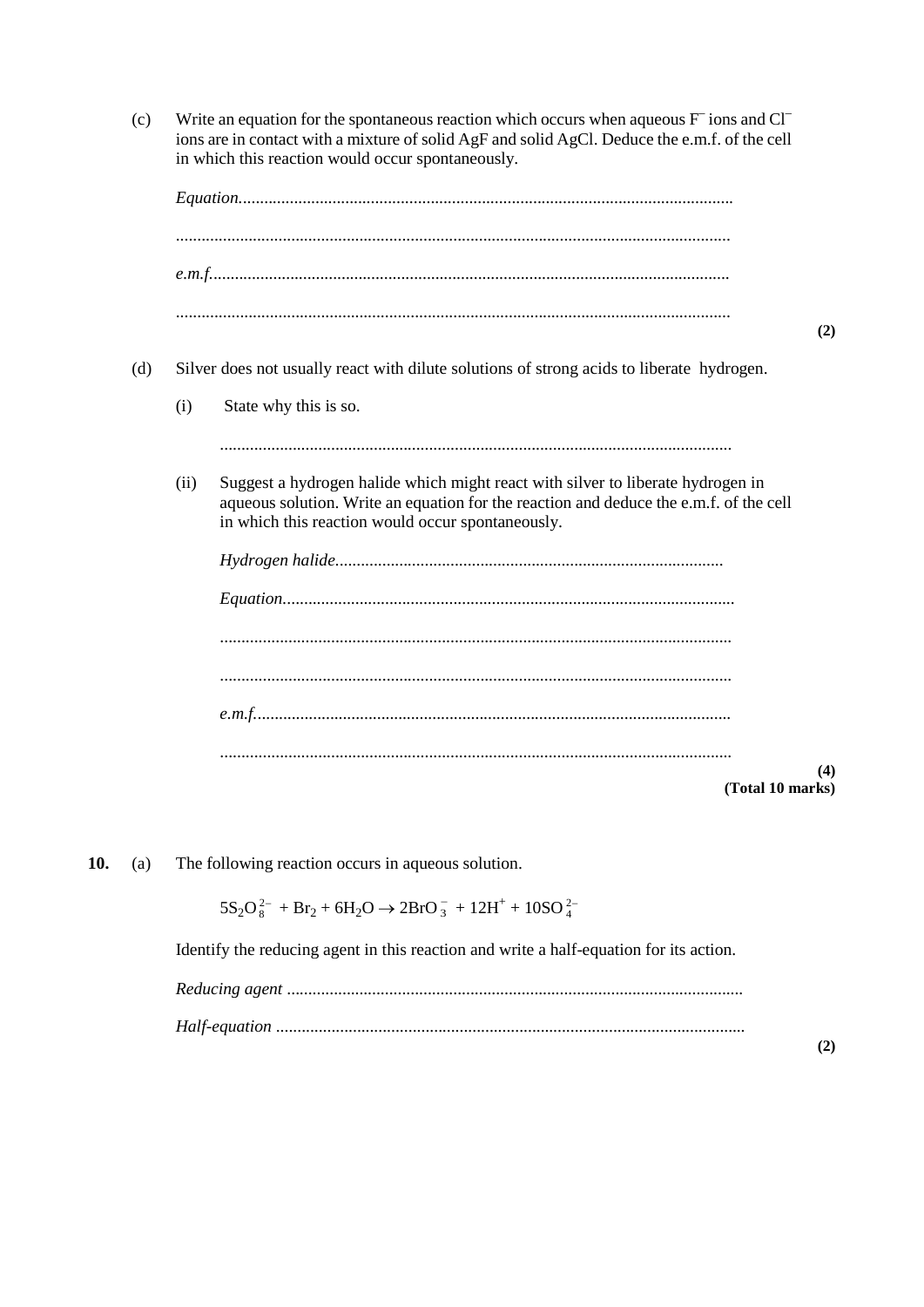(c) Write an equation for the spontaneous reaction which occurs when aqueous  $F^-$  ions and  $Cl^$ ions are in contact with a mixture of solid AgF and solid AgCl. Deduce the e.m.f. of the cell in which this reaction would occur spontaneously.



**10.** (a) The following reaction occurs in aqueous solution.

 $5S_2O_8^{2-} + Br_2 + 6H_2O \rightarrow 2BrO_3^- + 12H^+ + 10SO_4^{2-}$ 

Identify the reducing agent in this reaction and write a half-equation for its action.

*Reducing agent* ........................................................................................................... *Half-equation* ..............................................................................................................

**(2)**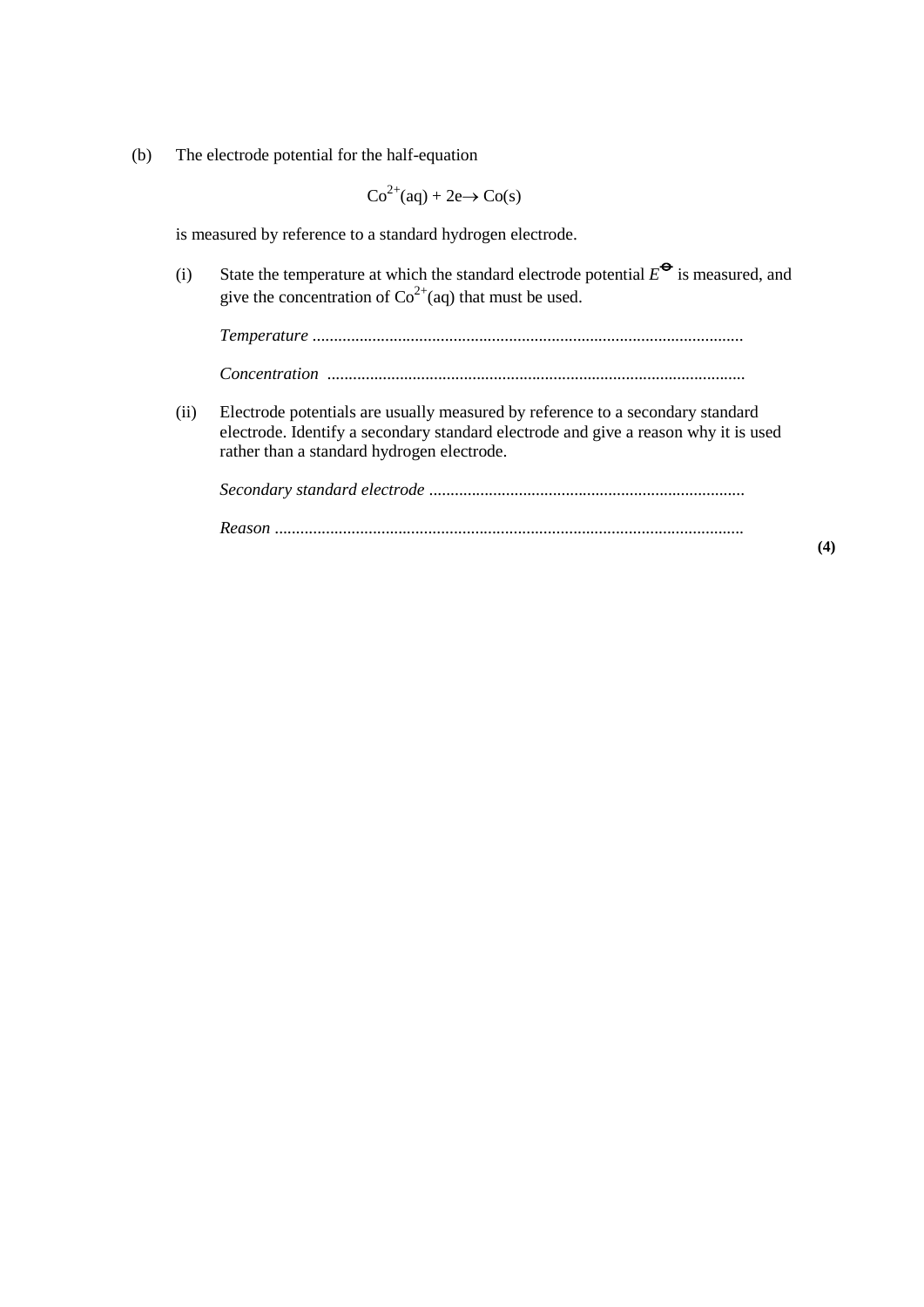(b) The electrode potential for the half-equation

 $Co^{2+}(aq) + 2e \rightarrow Co(s)$ 

is measured by reference to a standard hydrogen electrode.

(i) State the temperature at which the standard electrode potential  $E^{\bullet}$  is measured, and give the concentration of  $\text{Co}^{2+}$ (aq) that must be used.

*Temperature* ..................................................................................................... *Concentration* ..................................................................................................

(ii) Electrode potentials are usually measured by reference to a secondary standard electrode. Identify a secondary standard electrode and give a reason why it is used rather than a standard hydrogen electrode.

*Secondary standard electrode* .......................................................................... *Reason* ..............................................................................................................

**(4)**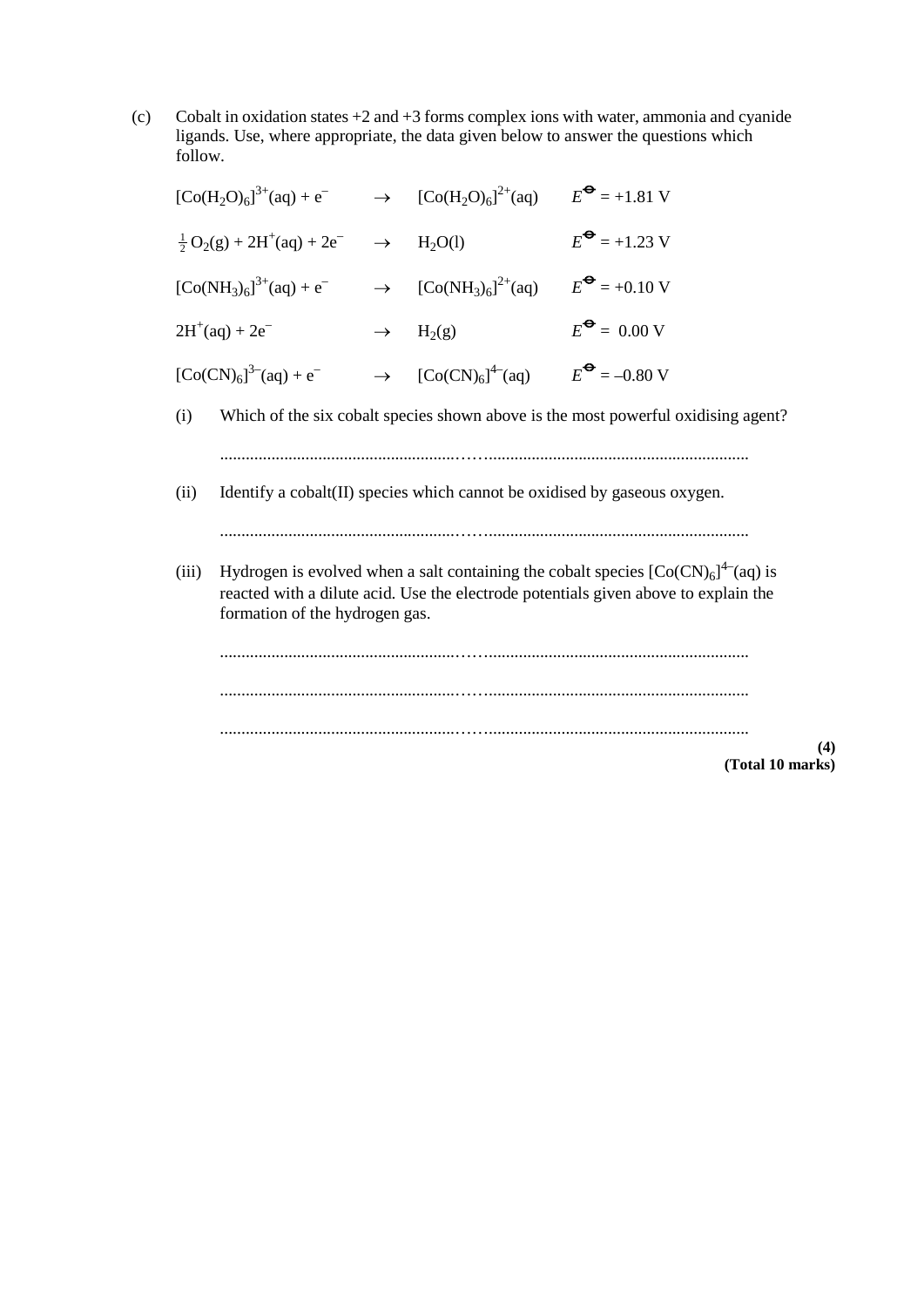(c) Cobalt in oxidation states  $+2$  and  $+3$  forms complex ions with water, ammonia and cyanide ligands. Use, where appropriate, the data given below to answer the questions which follow.

|                         | $[Co(H2O)6]$ <sup>3+</sup> (aq) + e <sup>-</sup>                                                                                                                                                                |               | $\rightarrow$ [Co(H <sub>2</sub> O) <sub>6</sub> ] <sup>2+</sup> (aq) $E^{\bullet} = +1.81$ V |                                                                                   |  |  |
|-------------------------|-----------------------------------------------------------------------------------------------------------------------------------------------------------------------------------------------------------------|---------------|-----------------------------------------------------------------------------------------------|-----------------------------------------------------------------------------------|--|--|
|                         | $\frac{1}{2}O_2(g) + 2H^+(aq) + 2e^ \rightarrow$ H <sub>2</sub> O(l)                                                                                                                                            |               |                                                                                               | $E^{\bigodot} = +1.23$ V                                                          |  |  |
|                         | $[Co(NH_3)_6]^{3+}(aq) + e^-$                                                                                                                                                                                   |               | $\rightarrow$ [Co(NH <sub>3</sub> ) <sub>6</sub> ] <sup>2+</sup> (aq) $E^{\bullet}$ = +0.10 V |                                                                                   |  |  |
|                         | $2H^{+}(aq) + 2e^{-}$                                                                                                                                                                                           | $\rightarrow$ | $H_2(g)$                                                                                      | $E^{\bullet} = 0.00 \text{ V}$                                                    |  |  |
|                         | $[Co(CN)6]^{3-}(aq) + e^{-}$                                                                                                                                                                                    |               | $\rightarrow$ [Co(CN) <sub>6</sub> ] <sup>4-</sup> (aq) $E^{\bullet} = -0.80 \text{ V}$       |                                                                                   |  |  |
| (i)                     |                                                                                                                                                                                                                 |               |                                                                                               | Which of the six cobalt species shown above is the most powerful oxidising agent? |  |  |
| (ii)                    | Identify a cobalt(II) species which cannot be oxidised by gaseous oxygen.                                                                                                                                       |               |                                                                                               |                                                                                   |  |  |
| (iii)                   | Hydrogen is evolved when a salt containing the cobalt species $[Co(CN)6]^{4-}$ (aq) is<br>reacted with a dilute acid. Use the electrode potentials given above to explain the<br>formation of the hydrogen gas. |               |                                                                                               |                                                                                   |  |  |
|                         |                                                                                                                                                                                                                 |               |                                                                                               |                                                                                   |  |  |
|                         |                                                                                                                                                                                                                 |               |                                                                                               |                                                                                   |  |  |
| (4)<br>(Total 10 marks) |                                                                                                                                                                                                                 |               |                                                                                               |                                                                                   |  |  |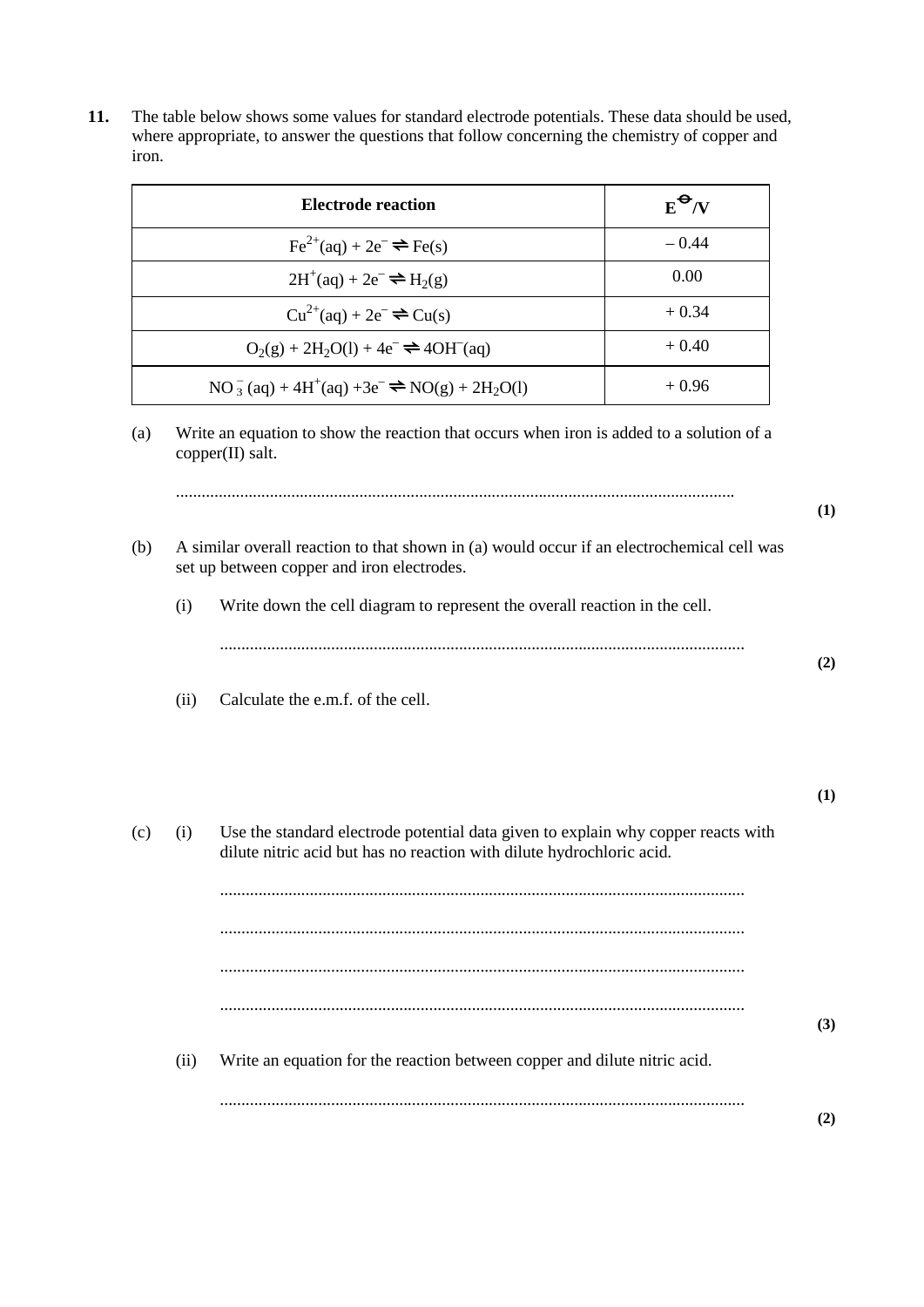**11.** The table below shows some values for standard electrode potentials. These data should be used, where appropriate, to answer the questions that follow concerning the chemistry of copper and iron.

| Electrode reaction                                                                               | $E^{\Theta}/V$ |
|--------------------------------------------------------------------------------------------------|----------------|
| $\text{Fe}^{2+}(\text{aq}) + 2\text{e}^- \rightleftharpoons \text{Fe(s)}$                        | $-0.44$        |
| $2H^+(aq) + 2e^- \rightleftharpoons H_2(g)$                                                      | 0.00           |
| $Cu^{2+}(aq) + 2e^{-} \rightleftharpoons Cu(s)$                                                  | $+0.34$        |
| $O_2(g) + 2H_2O(1) + 4e^- \rightleftharpoons 4OH^-(aq)$                                          | $+0.40$        |
| $NO_3^-$ (aq) + 4H <sup>+</sup> (aq) +3e <sup>-</sup> $\Rightarrow$ NO(g) + 2H <sub>2</sub> O(l) | $+0.96$        |

(a) Write an equation to show the reaction that occurs when iron is added to a solution of a copper(II) salt.

|     |                                                                                                                                          |                                                                                                                                                            | (1) |
|-----|------------------------------------------------------------------------------------------------------------------------------------------|------------------------------------------------------------------------------------------------------------------------------------------------------------|-----|
| (b) | A similar overall reaction to that shown in (a) would occur if an electrochemical cell was<br>set up between copper and iron electrodes. |                                                                                                                                                            |     |
|     | (i)                                                                                                                                      | Write down the cell diagram to represent the overall reaction in the cell.                                                                                 |     |
|     |                                                                                                                                          |                                                                                                                                                            | (2) |
|     | (ii)                                                                                                                                     | Calculate the e.m.f. of the cell.                                                                                                                          |     |
|     |                                                                                                                                          |                                                                                                                                                            | (1) |
| (c) | (i)                                                                                                                                      | Use the standard electrode potential data given to explain why copper reacts with<br>dilute nitric acid but has no reaction with dilute hydrochloric acid. |     |
|     |                                                                                                                                          |                                                                                                                                                            |     |
|     |                                                                                                                                          |                                                                                                                                                            |     |
|     |                                                                                                                                          |                                                                                                                                                            | (3) |
|     | (ii)                                                                                                                                     | Write an equation for the reaction between copper and dilute nitric acid.                                                                                  |     |
|     |                                                                                                                                          |                                                                                                                                                            | (2) |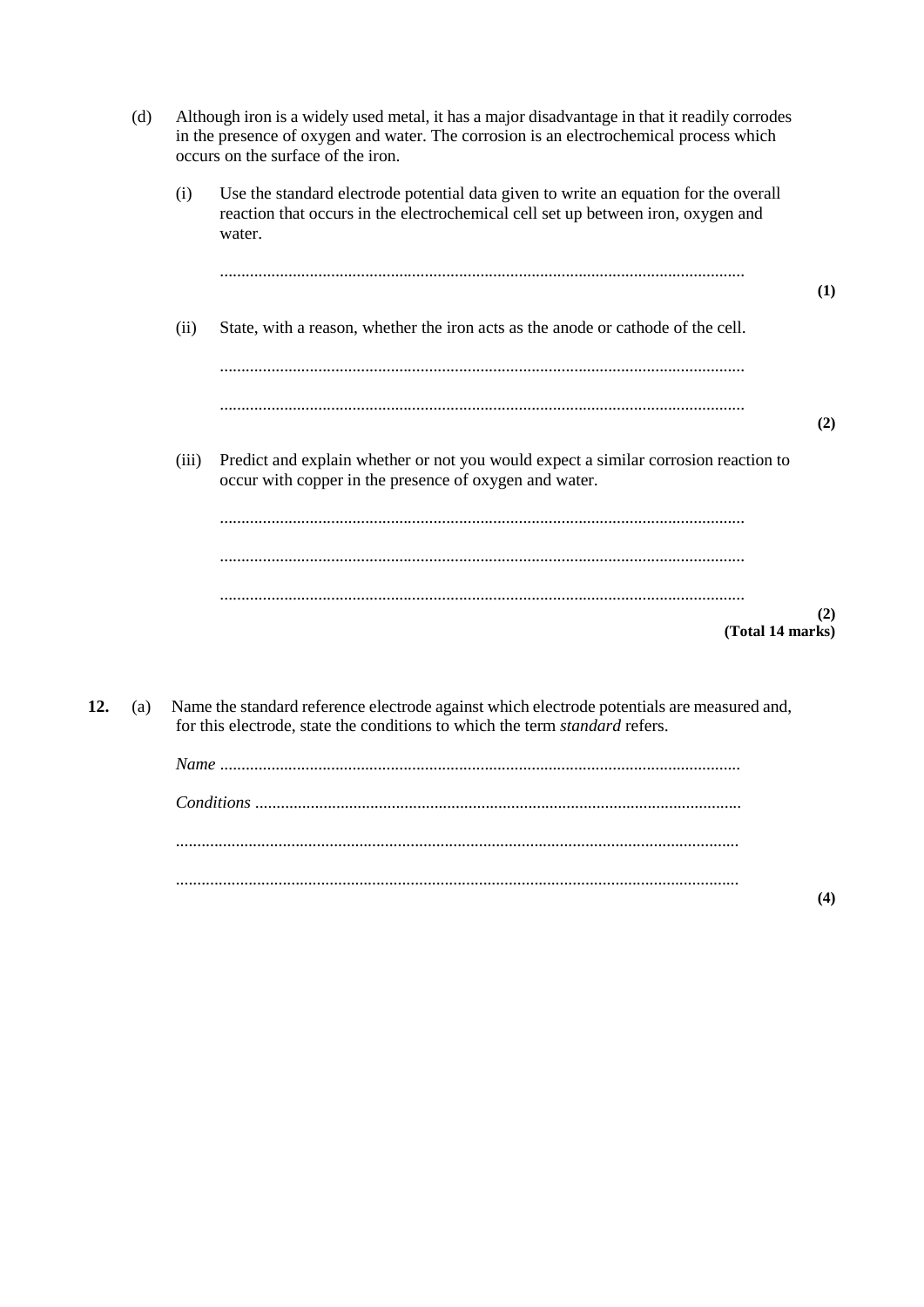| (d) |       | Although iron is a widely used metal, it has a major disadvantage in that it readily corrodes<br>in the presence of oxygen and water. The corrosion is an electrochemical process which<br>occurs on the surface of the iron. |     |
|-----|-------|-------------------------------------------------------------------------------------------------------------------------------------------------------------------------------------------------------------------------------|-----|
|     | (i)   | Use the standard electrode potential data given to write an equation for the overall<br>reaction that occurs in the electrochemical cell set up between iron, oxygen and<br>water.                                            |     |
|     |       |                                                                                                                                                                                                                               | (1) |
|     | (ii)  | State, with a reason, whether the iron acts as the anode or cathode of the cell.                                                                                                                                              |     |
|     |       |                                                                                                                                                                                                                               |     |
|     |       |                                                                                                                                                                                                                               | (2) |
|     | (iii) | Predict and explain whether or not you would expect a similar corrosion reaction to<br>occur with copper in the presence of oxygen and water.                                                                                 |     |
|     |       |                                                                                                                                                                                                                               |     |
|     |       |                                                                                                                                                                                                                               |     |
|     |       | (Total 14 marks)                                                                                                                                                                                                              | (2) |

**12.** (a) Name the standard reference electrode against which electrode potentials are measured and, for this electrode, state the conditions to which the term *standard* refers.

**(4)**